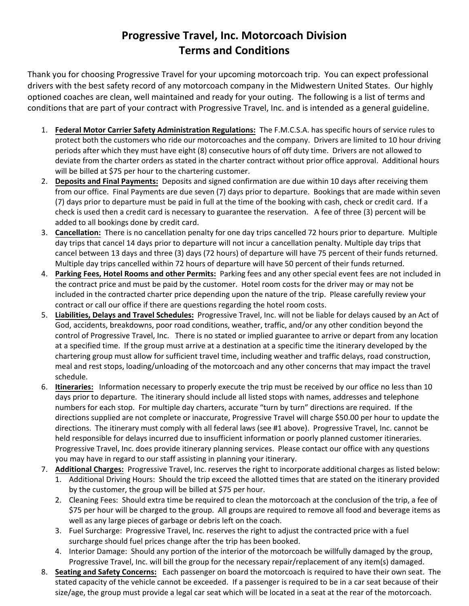## **Progressive Travel, Inc. Motorcoach Division Terms and Conditions**

Thank you for choosing Progressive Travel for your upcoming motorcoach trip. You can expect professional drivers with the best safety record of any motorcoach company in the Midwestern United States. Our highly optioned coaches are clean, well maintained and ready for your outing. The following is a list of terms and conditions that are part of your contract with Progressive Travel, Inc. and is intended as a general guideline.

- 1. **Federal Motor Carrier Safety Administration Regulations:** The F.M.C.S.A. has specific hours of service rules to protect both the customers who ride our motorcoaches and the company. Drivers are limited to 10 hour driving periods after which they must have eight (8) consecutive hours of off duty time. Drivers are not allowed to deviate from the charter orders as stated in the charter contract without prior office approval. Additional hours will be billed at \$75 per hour to the chartering customer.
- 2. **Deposits and Final Payments:** Deposits and signed confirmation are due within 10 days after receiving them from our office. Final Payments are due seven (7) days prior to departure. Bookings that are made within seven (7) days prior to departure must be paid in full at the time of the booking with cash, check or credit card. If a check is used then a credit card is necessary to guarantee the reservation. A fee of three (3) percent will be added to all bookings done by credit card.
- 3. **Cancellation:** There is no cancellation penalty for one day trips cancelled 72 hours prior to departure. Multiple day trips that cancel 14 days prior to departure will not incur a cancellation penalty. Multiple day trips that cancel between 13 days and three (3) days (72 hours) of departure will have 75 percent of their funds returned. Multiple day trips cancelled within 72 hours of departure will have 50 percent of their funds returned.
- 4. **Parking Fees, Hotel Rooms and other Permits:** Parking fees and any other special event fees are not included in the contract price and must be paid by the customer. Hotel room costs for the driver may or may not be included in the contracted charter price depending upon the nature of the trip. Please carefully review your contract or call our office if there are questions regarding the hotel room costs.
- 5. **Liabilities, Delays and Travel Schedules:** Progressive Travel, Inc. will not be liable for delays caused by an Act of God, accidents, breakdowns, poor road conditions, weather, traffic, and/or any other condition beyond the control of Progressive Travel, Inc. There is no stated or implied guarantee to arrive or depart from any location at a specified time. If the group must arrive at a destination at a specific time the itinerary developed by the chartering group must allow for sufficient travel time, including weather and traffic delays, road construction, meal and rest stops, loading/unloading of the motorcoach and any other concerns that may impact the travel schedule.
- 6. **Itineraries:** Information necessary to properly execute the trip must be received by our office no less than 10 days prior to departure. The itinerary should include all listed stops with names, addresses and telephone numbers for each stop. For multiple day charters, accurate "turn by turn" directions are required. If the directions supplied are not complete or inaccurate, Progressive Travel will charge \$50.00 per hour to update the directions. The itinerary must comply with all federal laws (see #1 above). Progressive Travel, Inc. cannot be held responsible for delays incurred due to insufficient information or poorly planned customer itineraries. Progressive Travel, Inc. does provide itinerary planning services. Please contact our office with any questions you may have in regard to our staff assisting in planning your itinerary.
- 7. **Additional Charges:** Progressive Travel, Inc. reserves the right to incorporate additional charges as listed below:
	- 1. Additional Driving Hours: Should the trip exceed the allotted times that are stated on the itinerary provided by the customer, the group will be billed at \$75 per hour.
	- 2. Cleaning Fees: Should extra time be required to clean the motorcoach at the conclusion of the trip, a fee of \$75 per hour will be charged to the group. All groups are required to remove all food and beverage items as well as any large pieces of garbage or debris left on the coach.
	- 3. Fuel Surcharge: Progressive Travel, Inc. reserves the right to adjust the contracted price with a fuel surcharge should fuel prices change after the trip has been booked.
	- 4. Interior Damage: Should any portion of the interior of the motorcoach be willfully damaged by the group, Progressive Travel, Inc. will bill the group for the necessary repair/replacement of any item(s) damaged.
- 8. **Seating and Safety Concerns:** Each passenger on board the motorcoach is required to have their own seat. The stated capacity of the vehicle cannot be exceeded. If a passenger is required to be in a car seat because of their size/age, the group must provide a legal car seat which will be located in a seat at the rear of the motorcoach.